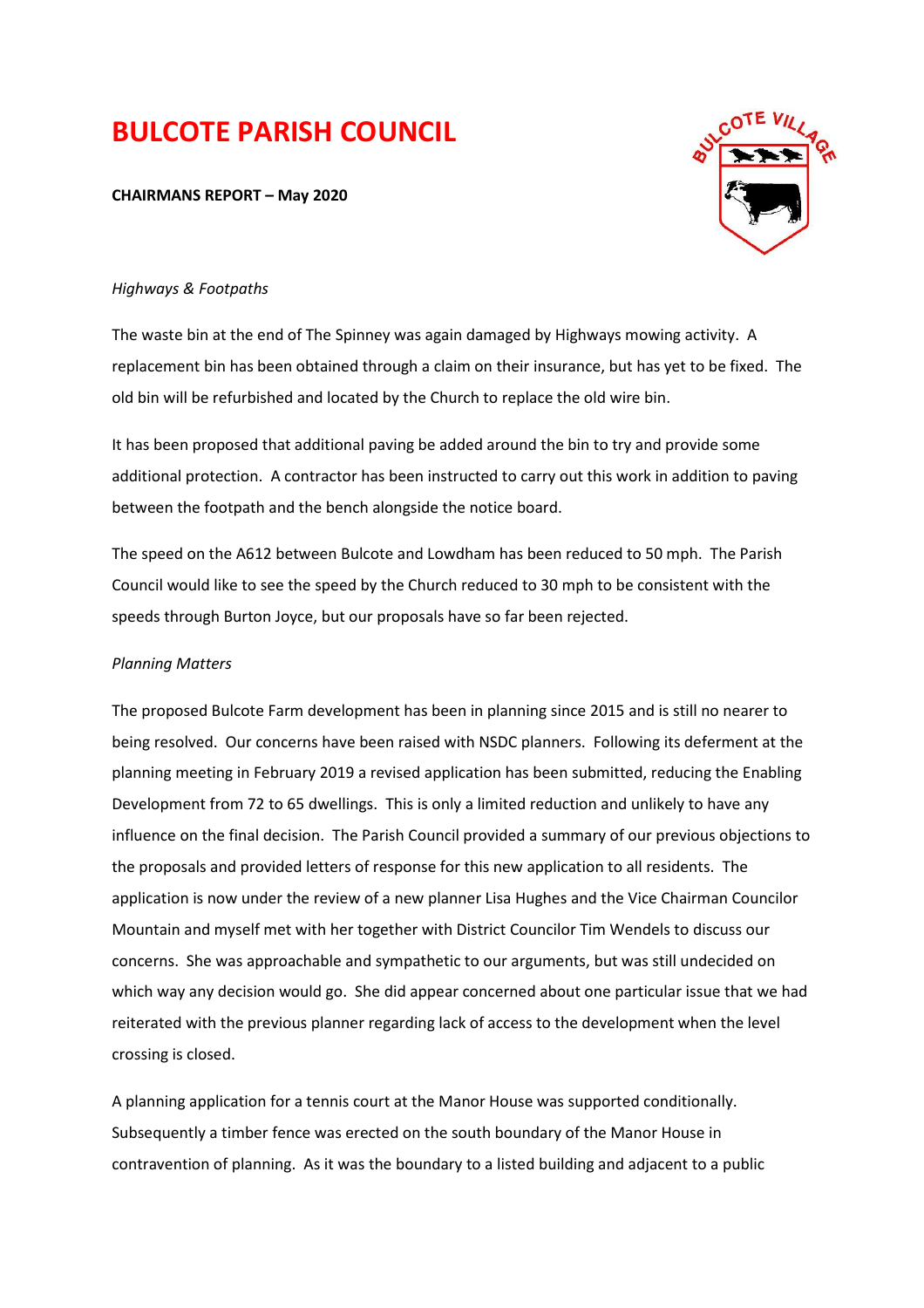# **BULCOTE PARISH COUNCIL**

**CHAIRMANS REPORT – May 2020** 



## *Highways & Footpaths*

The waste bin at the end of The Spinney was again damaged by Highways mowing activity. A replacement bin has been obtained through a claim on their insurance, but has yet to be fixed. The old bin will be refurbished and located by the Church to replace the old wire bin.

It has been proposed that additional paving be added around the bin to try and provide some additional protection. A contractor has been instructed to carry out this work in addition to paving between the footpath and the bench alongside the notice board.

The speed on the A612 between Bulcote and Lowdham has been reduced to 50 mph. The Parish Council would like to see the speed by the Church reduced to 30 mph to be consistent with the speeds through Burton Joyce, but our proposals have so far been rejected.

### *Planning Matters*

The proposed Bulcote Farm development has been in planning since 2015 and is still no nearer to being resolved. Our concerns have been raised with NSDC planners. Following its deferment at the planning meeting in February 2019 a revised application has been submitted, reducing the Enabling Development from 72 to 65 dwellings. This is only a limited reduction and unlikely to have any influence on the final decision. The Parish Council provided a summary of our previous objections to the proposals and provided letters of response for this new application to all residents. The application is now under the review of a new planner Lisa Hughes and the Vice Chairman Councilor Mountain and myself met with her together with District Councilor Tim Wendels to discuss our concerns. She was approachable and sympathetic to our arguments, but was still undecided on which way any decision would go. She did appear concerned about one particular issue that we had reiterated with the previous planner regarding lack of access to the development when the level crossing is closed.

A planning application for a tennis court at the Manor House was supported conditionally. Subsequently a timber fence was erected on the south boundary of the Manor House in contravention of planning. As it was the boundary to a listed building and adjacent to a public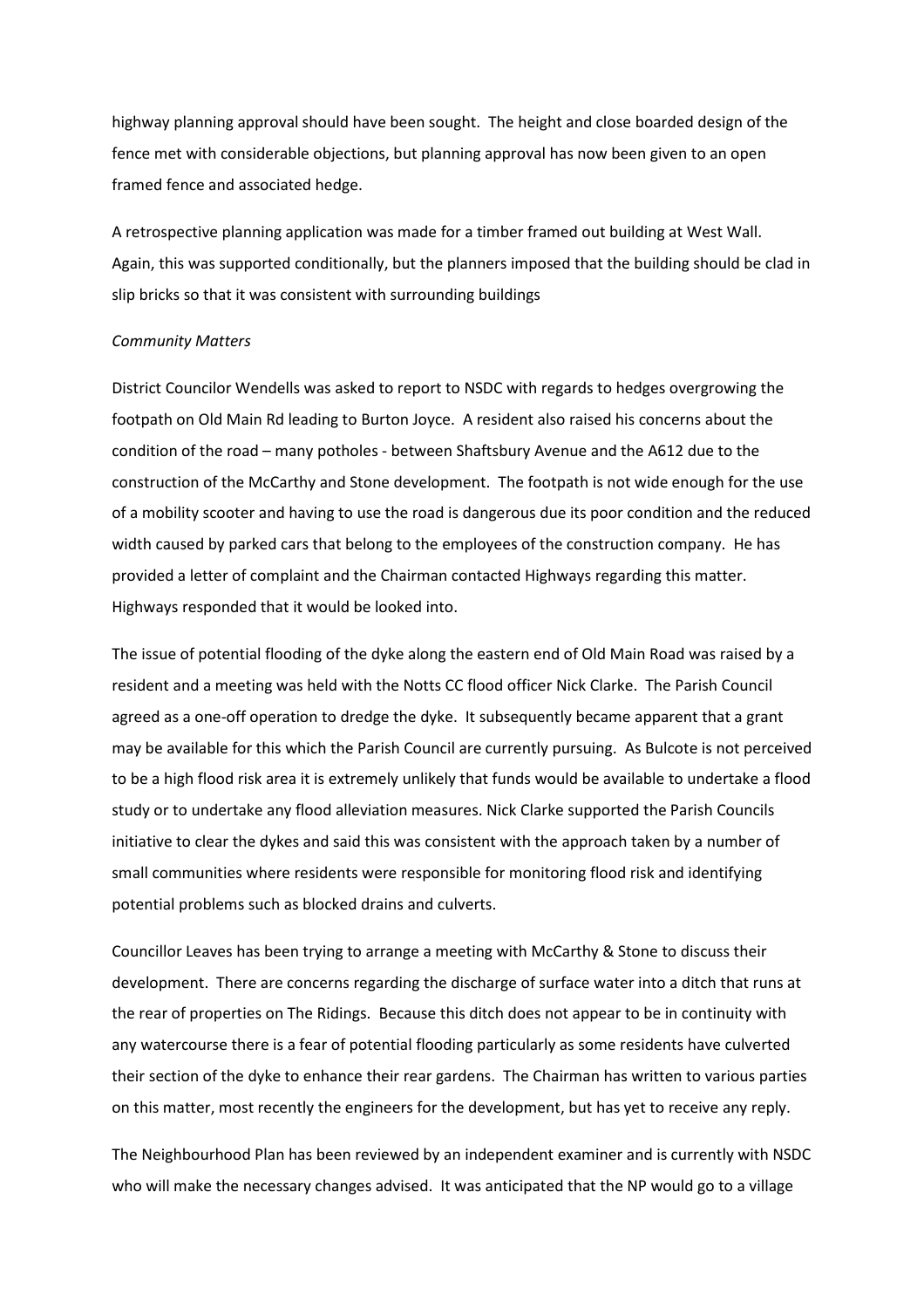highway planning approval should have been sought. The height and close boarded design of the fence met with considerable objections, but planning approval has now been given to an open framed fence and associated hedge.

A retrospective planning application was made for a timber framed out building at West Wall. Again, this was supported conditionally, but the planners imposed that the building should be clad in slip bricks so that it was consistent with surrounding buildings

#### *Community Matters*

District Councilor Wendells was asked to report to NSDC with regards to hedges overgrowing the footpath on Old Main Rd leading to Burton Joyce. A resident also raised his concerns about the condition of the road – many potholes - between Shaftsbury Avenue and the A612 due to the construction of the McCarthy and Stone development. The footpath is not wide enough for the use of a mobility scooter and having to use the road is dangerous due its poor condition and the reduced width caused by parked cars that belong to the employees of the construction company. He has provided a letter of complaint and the Chairman contacted Highways regarding this matter. Highways responded that it would be looked into.

The issue of potential flooding of the dyke along the eastern end of Old Main Road was raised by a resident and a meeting was held with the Notts CC flood officer Nick Clarke. The Parish Council agreed as a one-off operation to dredge the dyke. It subsequently became apparent that a grant may be available for this which the Parish Council are currently pursuing. As Bulcote is not perceived to be a high flood risk area it is extremely unlikely that funds would be available to undertake a flood study or to undertake any flood alleviation measures. Nick Clarke supported the Parish Councils initiative to clear the dykes and said this was consistent with the approach taken by a number of small communities where residents were responsible for monitoring flood risk and identifying potential problems such as blocked drains and culverts.

Councillor Leaves has been trying to arrange a meeting with McCarthy & Stone to discuss their development. There are concerns regarding the discharge of surface water into a ditch that runs at the rear of properties on The Ridings. Because this ditch does not appear to be in continuity with any watercourse there is a fear of potential flooding particularly as some residents have culverted their section of the dyke to enhance their rear gardens. The Chairman has written to various parties on this matter, most recently the engineers for the development, but has yet to receive any reply.

The Neighbourhood Plan has been reviewed by an independent examiner and is currently with NSDC who will make the necessary changes advised. It was anticipated that the NP would go to a village